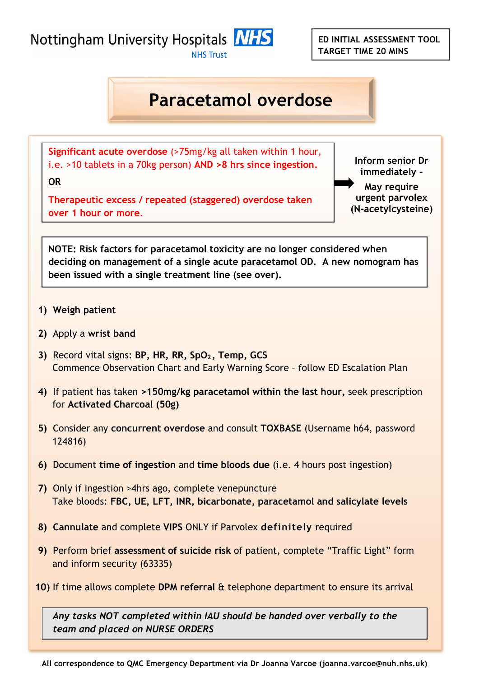**ED INITIAL ASSESSMENT TOOL TARGET TIME 20 MINS**

Nottingham University Hospitals MHS

**NHS Trust** 

## **Paracetamol overdose**

**Significant acute overdose** (>75mg/kg all taken within 1 hour, i.e. >10 tablets in a 70kg person) **AND >8 hrs since ingestion.**

**Inform senior Dr immediately – May require urgent parvolex (N-acetylcysteine)**

**Therapeutic excess / repeated (staggered) overdose taken over 1 hour or more**.

**NOTE: Risk factors for paracetamol toxicity are no longer considered when deciding on management of a single acute paracetamol OD. A new nomogram has been issued with a single treatment line (see over).** 

**1) Weigh patient**

**OR**

- **2)** Apply a **wrist band**
- **3)** Record vital signs: BP, HR, RR, SpO<sub>2</sub>, Temp, GCS Commence Observation Chart and Early Warning Score – follow ED Escalation Plan
- **4)** If patient has taken **>150mg/kg paracetamol within the last hour,** seek prescription for **Activated Charcoal (50g)**
- **5)** Consider any **concurrent overdose** and consult **TOXBASE** (Username h64, password 124816)
- **6)** Document **time of ingestion** and **time bloods due** (i.e. 4 hours post ingestion)
- **7)** Only if ingestion >4hrs ago, complete venepuncture Take bloods: **FBC, UE, LFT, INR, bicarbonate, paracetamol and salicylate levels**
- **8) Cannulate** and complete **VIPS** ONLY if Parvolex **definitely** required
- **9)** Perform brief **assessment of suicide risk** of patient, complete "Traffic Light" form and inform security (63335)
- **10)** If time allows complete **DPM referral** & telephone department to ensure its arrival

*Any tasks NOT completed within IAU should be handed over verbally to the team and placed on NURSE ORDERS*